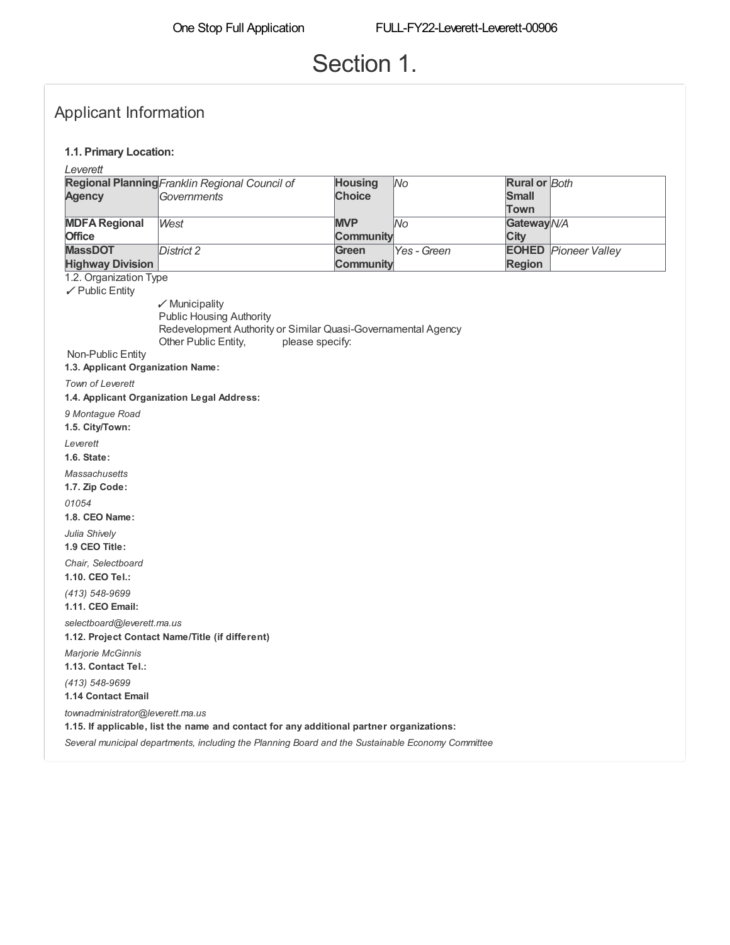# Section 1.

### Applicant Information

#### **1.1. Primary Location:**

*Leverett*

|                         | Regional Planning Franklin Regional Council of | <b>Housing</b> | lNo.         | <b>Rural or Both</b> |                             |
|-------------------------|------------------------------------------------|----------------|--------------|----------------------|-----------------------------|
| <b>Agency</b>           | <b>Governments</b>                             | <b>Choice</b>  |              | <b>Small</b>         |                             |
|                         |                                                |                |              | Town                 |                             |
| <b>MDFA Regional</b>    | West                                           | <b>MVP</b>     | lNo          | Gateway N/A          |                             |
| <b>Office</b>           |                                                | Community      |              | City                 |                             |
| <b>MassDOT</b>          | Distinct 2                                     | Green          | lYes - Green |                      | <b>EOHED</b> Pioneer Valley |
| <b>Highway Division</b> |                                                | Community      |              | <b>Region</b>        |                             |

1.2. Organization Type

✓ Public Entity

✓ Municipality Public Housing Authority Redevelopment Authority or Similar Quasi-Governamental Agency Other Public Entity, please specify:

**1.3. Applicant Organization Name:** Non-Public Entity

*Town of Leverett* **1.4. Applicant Organization Legal Address:** *9 Montague Road* **1.5. City/Town:** *Leverett* **1.6. State:** *Massachusetts* **1.7. Zip Code:** *01054* **1.8. CEO Name:** *Julia Shively* **1.9 CEO Title:** *Chair, Selectboard* **1.10. CEO Tel.:** *(413) 548-9699* **1.11. CEO Email:** *selectboard@leverett.ma.us* **1.12. Project Contact Name/Title (if different)** *Marjorie McGinnis* **1.13. Contact Tel.:**

*(413) 548-9699* **1.14 Contact Email**

*townadministrator@leverett.ma.us*

**1.15. If applicable, list the name and contact for any additional partner organizations:**

*Several municipal departments, including the Planning Board and the Sustainable Economy Committee*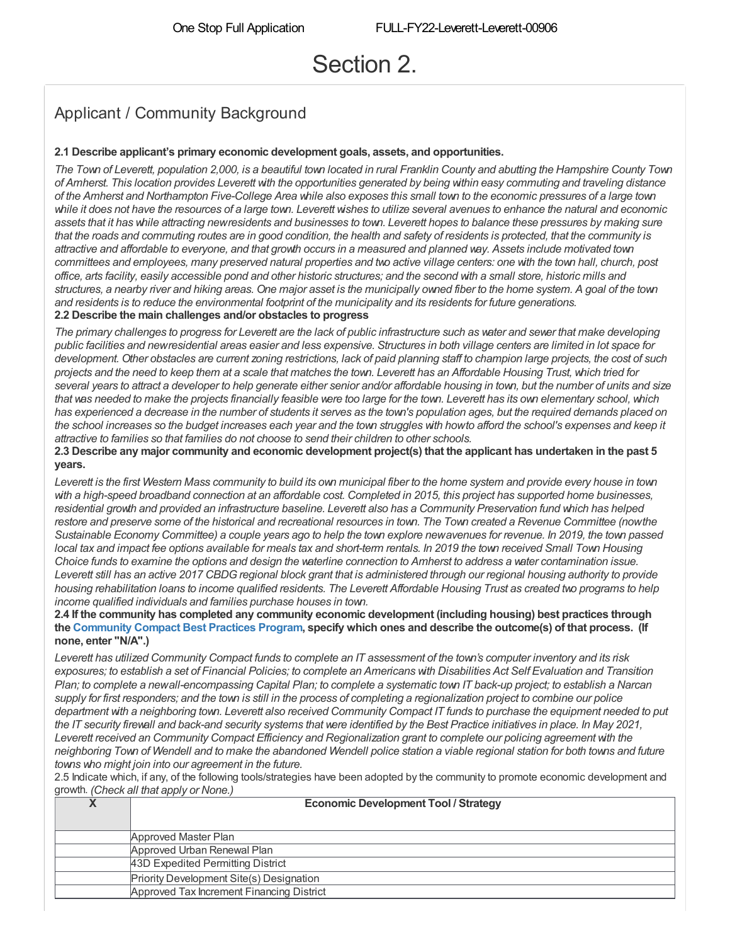# Section 2.

## Applicant / Community Background

### **2.1 Describe applicant's primary economic development goals, assets, and opportunities.**

The Town of Leverett, population 2,000, is a beautiful town located in rural Franklin County and abutting the Hampshire County Town of Amherst. This location provides Leverett with the opportunities generated by being within easy commuting and traveling distance of the Amherst and Northampton Five-College Area while also exposes this small town to the economic pressures of a large town while it does not have the resources of a large town. Leverett wishes to utilize several avenues to enhance the natural and economic assets that it has while attracting newresidents and businesses to town. Leverett hopes to balance these pressures by making sure that the roads and commuting routes are in good condition, the health and safety of residents is protected, that the community is attractive and affordable to everyone, and that growth occurs in a measured and planned way. Assets include motivated town committees and employees, many preserved natural properties and two active village centers: one with the town hall, church, post office, arts facility, easily accessible pond and other historic structures; and the second with a small store, historic mills and structures, a nearby river and hiking areas. One major asset is the municipally owned fiber to the home system. A goal of the town and residents is to reduce the environmental footprint of the municipality and its residents for future generations. **2.2 Describe the main challenges and/or obstacles to progress**

The primary challenges to progress for Leverett are the lack of public infrastructure such as water and sewer that make developing public facilities and newresidential areas easier and less expensive. Structures in both village centers are limited in lot space for development. Other obstacles are current zoning restrictions, lack of paid planning staff to champion large projects, the cost of such projects and the need to keep them at a scale that matches the town. Leverett has an Affordable Housing Trust, which tried for several years to attract a developer to help generate either senior and/or affordable housing in town, but the number of units and size that was needed to make the projects financially feasible were too large for the town. Leverett has its own elementary school, which has experienced a decrease in the number of students it serves as the town's population ages, but the required demands placed on the school increases so the budget increases each year and the town struggles with howto afford the school's expenses and keep it *attractive to families so that families do not choose to send their children to other schools.*

2.3 Describe any major community and economic development project(s) that the applicant has undertaken in the past 5 **years.**

Leverett is the first Western Mass community to build its own municipal fiber to the home system and provide every house in town with a high-speed broadband connection at an affordable cost. Completed in 2015, this project has supported home businesses, residential growth and provided an infrastructure baseline. Leverett also has a Community Preservation fund which has helped restore and preserve some of the historical and recreational resources in town. The Town created a Revenue Committee (nowthe Sustainable Economy Committee) a couple years ago to help the town explore newavenues for revenue. In 2019, the town passed local tax and impact fee options available for meals tax and short-term rentals. In 2019 the town received Small Town Housing Choice funds to examine the options and design the waterline connection to Amherst to address a water contamination issue. Leverett still has an active 2017 CBDG regional block grant that is administered through our regional housing authority to provide housing rehabilitation loans to income qualified residents. The Leverett Affordable Housing Trust as created two programs to help *income qualified individuals and families purchase houses in town.*

**2.4 If the community has completed any community economic development (including housing) best practices through** the [Community](https://www.mass.gov/best-practices-program) Compact Best Practices Program, specify which ones and describe the outcome(s) of that process. (If **none, enter "N/A".)**

Leverett has utilized Community Compact funds to complete an IT assessment of the town's computer inventory and its risk exposures; to establish a set of Financial Policies; to complete an Americans with Disabilities Act Self Evaluation and Transition Plan; to complete a newall-encompassing Capital Plan; to complete a systematic town IT back-up project; to establish a Narcan supply for first responders; and the town is still in the process of completing a regionalization project to combine our police department with a neighboring town. Leverett also received Community Compact IT funds to purchase the equipment needed to put the IT security firewall and back-and security systems that were identified by the Best Practice initiatives in place. In May 2021, Leverett received an Community Compact Efficiency and Regionalization grant to complete our policing agreement with the neighboring Town of Wendell and to make the abandoned Wendell police station a viable regional station for both towns and future *towns who might join into our agreement in the future.*

2.5 Indicate which, if any, of the following tools/strategies have been adopted by the community to promote economic development and growth. *(Check all that apply or None.)*

| ⋀ | <b>Economic Development Tool / Strategy</b> |
|---|---------------------------------------------|
|   | Approved Master Plan                        |
|   | Approved Urban Renewal Plan                 |
|   | 43D Expedited Permitting District           |
|   | Priority Development Site(s) Designation    |
|   | Approved Tax Increment Financing District   |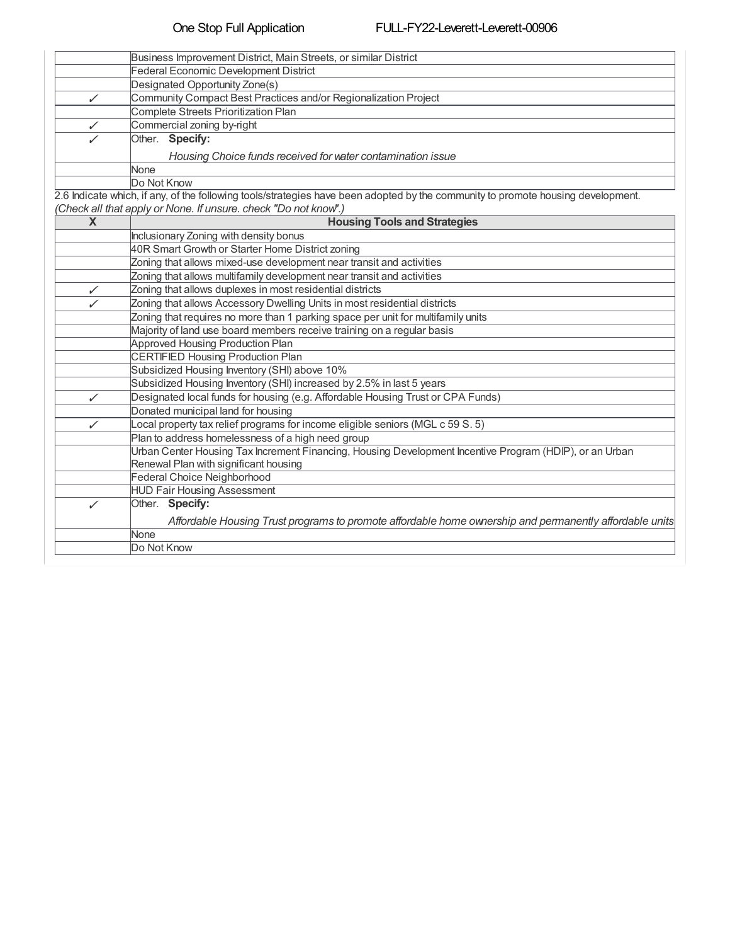| Business Improvement District, Main Streets, or similar District |
|------------------------------------------------------------------|
| Federal Economic Development District                            |
| Designated Opportunity Zone(s)                                   |
| Community Compact Best Practices and/or Regionalization Project  |
| Complete Streets Prioritization Plan                             |
| Commercial zoning by-right                                       |
| Other. Specify:                                                  |
| Housing Choice funds received for water contamination issue      |
| None                                                             |
| Do Not Know                                                      |

2.6 Indicate which, if any, of the following tools/strategies have been adopted by the community to promote housing development.

| (Check all that apply or None. If unsure. check "Do not know".) |  |  |
|-----------------------------------------------------------------|--|--|
|                                                                 |  |  |

| $\overline{\mathbf{x}}$ | <b>Housing Tools and Strategies</b>                                                                     |
|-------------------------|---------------------------------------------------------------------------------------------------------|
|                         | Inclusionary Zoning with density bonus                                                                  |
|                         | 40R Smart Growth or Starter Home District zoning                                                        |
|                         | Zoning that allows mixed-use development near transit and activities                                    |
|                         | Zoning that allows multifamily development near transit and activities                                  |
| ✓                       | Zoning that allows duplexes in most residential districts                                               |
| ✓                       | Zoning that allows Accessory Dwelling Units in most residential districts                               |
|                         | Zoning that requires no more than 1 parking space per unit for multifamily units                        |
|                         | Majority of land use board members receive training on a regular basis                                  |
|                         | <b>Approved Housing Production Plan</b>                                                                 |
|                         | <b>CERTIFIED Housing Production Plan</b>                                                                |
|                         | Subsidized Housing Inventory (SHI) above 10%                                                            |
|                         | Subsidized Housing Inventory (SHI) increased by 2.5% in last 5 years                                    |
| ✓                       | Designated local funds for housing (e.g. Affordable Housing Trust or CPA Funds)                         |
|                         | Donated municipal land for housing                                                                      |
| ✓                       | Local property tax relief programs for income eligible seniors (MGL c 59 S. 5)                          |
|                         | Plan to address homelessness of a high need group                                                       |
|                         | Urban Center Housing Tax Increment Financing, Housing Development Incentive Program (HDIP), or an Urban |
|                         | Renewal Plan with significant housing                                                                   |
|                         | Federal Choice Neighborhood                                                                             |
|                         | <b>HUD Fair Housing Assessment</b>                                                                      |
| ✓                       | Other. Specify:                                                                                         |
|                         | Affordable Housing Trust programs to promote affordable home ownership and permanently affordable units |
|                         | None                                                                                                    |
|                         | Do Not Know                                                                                             |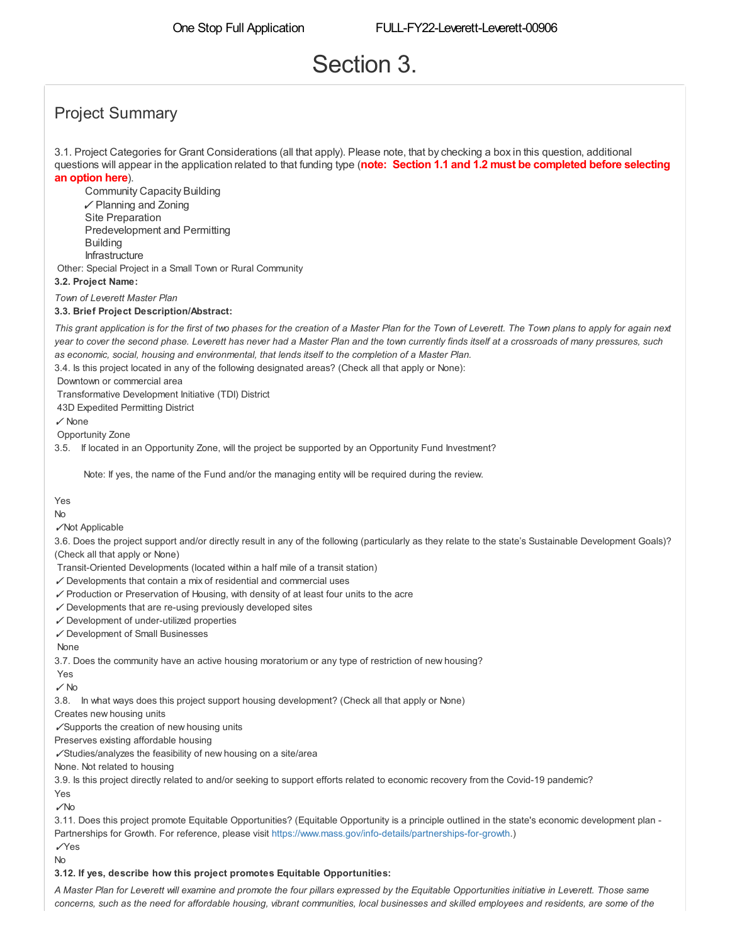# Section 3.

## Project Summary

3.1. Project Categories for Grant Considerations (all that apply). Please note, that by checking a box in this question, additional questions will appear in the application related to that funding type (**note: Section 1.1 and 1.2 must be completed before selecting an option here**).

Community Capacity Building ✓ Planning and Zoning Predevelopment and Permitting Infrastructure Other: Special Project in a Small Town or Rural Community Site Preparation **Building** 

**3.2. Project Name:**

*Town of Leverett Master Plan*

**3.3. Brief Project Description/Abstract:**

This grant application is for the first of two phases for the creation of a Master Plan for the Town of Leverett. The Town plans to apply for again next year to cover the second phase. Leverett has never had a Master Plan and the town currently finds itself at a crossroads of many pressures, such *as economic, social, housing and environmental, that lends itself to the completion of a Master Plan.*

3.4. Is this project located in any of the following designated areas? (Check all that apply or None):

Downtown or commercial area

Transformative Development Initiative (TDI) District

43D Expedited Permitting District

✓ None

Opportunity Zone

3.5. If located in an Opportunity Zone, will the project be supported by an Opportunity Fund Investment?

Note: If yes, the name of the Fund and/or the managing entity will be required during the review.

#### Yes

No

✓Not Applicable

3.6. Does the project support and/or directly result in any of the following (particularly as they relate to the state's Sustainable Development Goals)? (Check all that apply or None)

Transit-Oriented Developments (located within a half mile of a transit station)

 $\checkmark$  Developments that contain a mix of residential and commercial uses

- ✓ Production or Preservation of Housing, with density of at least four units to the acre
- $\checkmark$  Developments that are re-using previously developed sites
- ✓ Development of under-utilized properties
- ✓ Development of Small Businesses

None

3.7. Does the community have an active housing moratorium or any type of restriction of new housing?

Yes

 $\checkmark$  No

3.8. In what ways does this project support housing development? (Check all that apply or None)

Creates new housing units

✓Supports the creation of new housing units

Preserves existing affordable housing

✓Studies/analyzes the feasibility of new housing on a site/area

None. Not related to housing

3.9. Is this project directly related to and/or seeking to support efforts related to economic recovery from the Covid-19 pandemic?

Yes ✓No

3.11. Does this project promote Equitable Opportunities? (Equitable Opportunity is a principle outlined in the state's economic development plan - Partnerships for Growth. For reference, please visit <https://www.mass.gov/info-details/partnerships-for-growth>.)

✓Yes No

#### **3.12. If yes, describe how this project promotes Equitable Opportunities:**

A Master Plan for Leverett will examine and promote the four pillars expressed by the Equitable Opportunities initiative in Leverett. Those same concerns, such as the need for affordable housing, vibrant communities, local businesses and skilled employees and residents, are some of the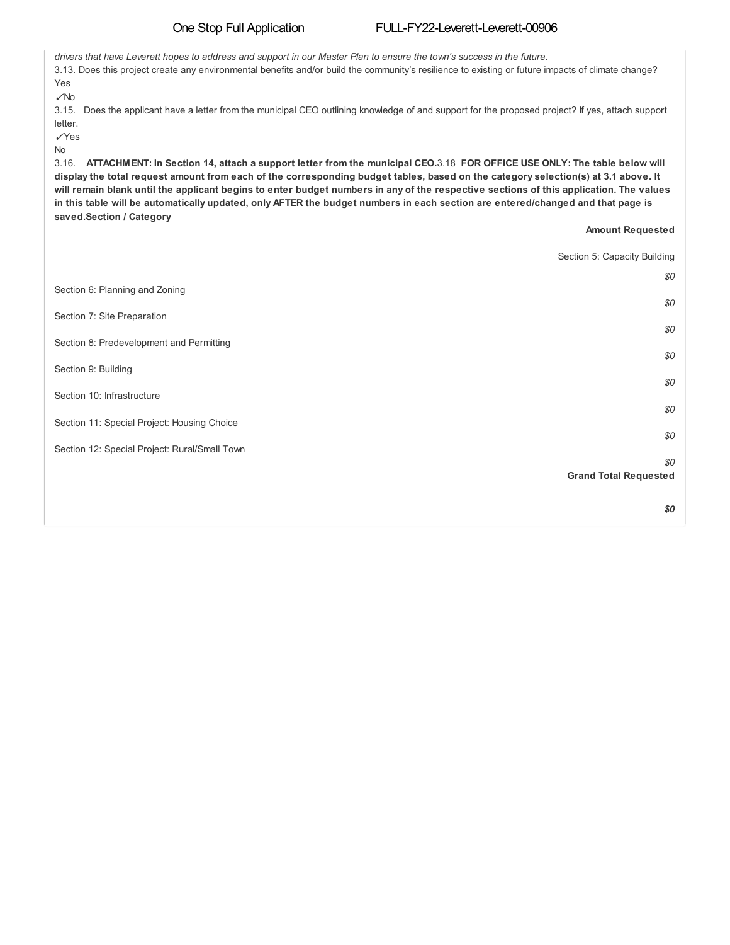#### One Stop Full Application FULL-FY22-Leverett-Leverett-00906

drivers that have Leverett hopes to address and support in our Master Plan to ensure the town's success in the future. 3.13. Does this project create any environmental benefits and/or build the community's resilience to existing or future impacts of climate change? Yes ✓No 3.15. Does the applicant have a letter from the municipal CEO outlining knowledge of and support for the proposed project? If yes, attach support letter. ✓Yes No 3.16. ATTACHMENT: In Section 14, attach a support letter from the municipal CEO.3.18 FOR OFFICE USE ONLY: The table below will display the total request amount from each of the corresponding budget tables, based on the category selection(s) at 3.1 above. It will remain blank until the applicant begins to enter budget numbers in any of the respective sections of this application. The values in this table will be automatically updated, only AFTER the budget numbers in each section are entered/changed and that page is **saved.Section / Category Amount Requested** Section 5: Capacity Building *\$0* Section 6: Planning and Zoning *\$0* Section 7: Site Preparation *\$0* Section 8: Predevelopment and Permitting *\$0* Section 9: Building *\$0* Section 10: Infrastructure *\$0* Section 11: Special Project: Housing Choice *\$0* Section 12: Special Project: Rural/Small Town *\$0* **Grand Total Requested**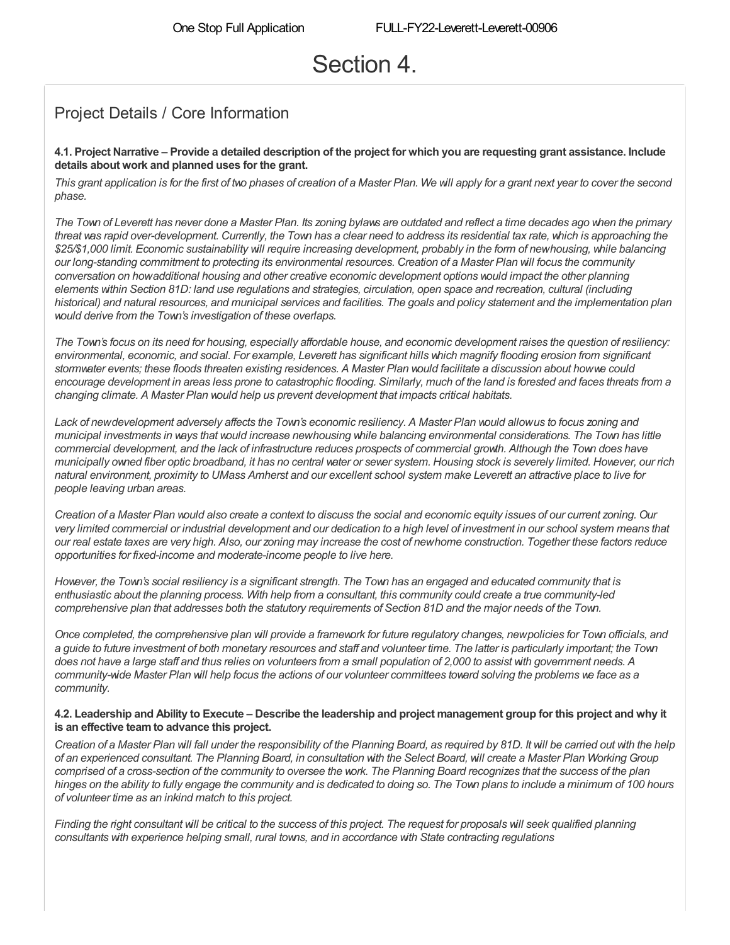# Section 4.

### Project Details / Core Information

#### 4.1. Project Narrative – Provide a detailed description of the project for which you are requesting grant assistance. Include **details about work and planned uses for the grant.**

This grant application is for the first of two phases of creation of a Master Plan. We will apply for a grant next year to cover the second *phase.*

The Town of Leverett has never done a Master Plan. Its zoning bylaws are outdated and reflect a time decades ago when the primary threat was rapid over-development. Currently, the Town has a clear need to address its residential tax rate, which is approaching the \$25/\$1,000 limit. Economic sustainability will require increasing development, probably in the form of newhousing, while balancing our long-standing commitment to protecting its environmental resources. Creation of a Master Plan will focus the community *conversation on howadditional housing and other creative economic development options would impact the other planning* elements within Section 81D: land use regulations and strategies, circulation, open space and recreation, cultural (including historical) and natural resources, and municipal services and facilities. The goals and policy statement and the implementation plan *would derive from the Town's investigation of these overlaps.*

The Town's focus on its need for housing, especially affordable house, and economic development raises the question of resiliency: environmental, economic, and social. For example, Leverett has significant hills which magnify flooding erosion from significant stormwater events; these floods threaten existing residences. A Master Plan would facilitate a discussion about howwe could encourage development in areas less prone to catastrophic flooding. Similarly, much of the land is forested and faces threats from a *changing climate. A Master Plan would help us prevent development that impacts critical habitats.*

Lack of newdevelopment adversely affects the Town's economic resiliency. A Master Plan would allowus to focus zoning and municipal investments in ways that would increase newhousing while balancing environmental considerations. The Town has little commercial development, and the lack of infrastructure reduces prospects of commercial growth. Although the Town does have municipally owned fiber optic broadband, it has no central vater or sever system. Housing stock is severely limited. However, our rich natural environment, proximity to UMass Amherst and our excellent school system make Leverett an attractive place to live for *people leaving urban areas.*

Creation of a Master Plan would also create a context to discuss the social and economic equity issues of our current zoning. Our very limited commercial or industrial development and our dedication to a high level of investment in our school system means that our real estate taxes are very high. Also, our zoning may increase the cost of newhome construction. Together these factors reduce *opportunities for fixed-income and moderate-income people to live here.*

However, the Town's social resiliency is a significant strength. The Town has an engaged and educated community that is enthusiastic about the planning process. With help from a consultant, this community could create a true community-led comprehensive plan that addresses both the statutory requirements of Section 81D and the major needs of the Town.

Once completed, the comprehensive plan will provide a framework for future regulatory changes, newpolicies for Town officials, and a guide to future investment of both monetary resources and staff and volunteer time. The latter is particularly important; the Town does not have a large staff and thus relies on volunteers from a small population of 2,000 to assist with government needs. A community-wide Master Plan will help focus the actions of our volunteer committees toward solving the problems we face as a *community.*

#### 4.2. Leadership and Ability to Execute – Describe the leadership and project management group for this project and why it **is an effective teamto advance this project.**

Creation of a Master Plan will fall under the responsibility of the Planning Board, as required by 81D. It will be carried out with the help of an experienced consultant. The Planning Board, in consultation with the Select Board, will create a Master Plan Working Group comprised of a cross-section of the community to oversee the work. The Planning Board recognizes that the success of the plan hinges on the ability to fully engage the community and is dedicated to doing so. The Town plans to include a minimum of 100 hours *of volunteer time as an inkind match to this project.*

Finding the right consultant will be critical to the success of this project. The request for proposals will seek qualified planning *consultants with experience helping small, rural towns, and in accordance with State contracting regulations*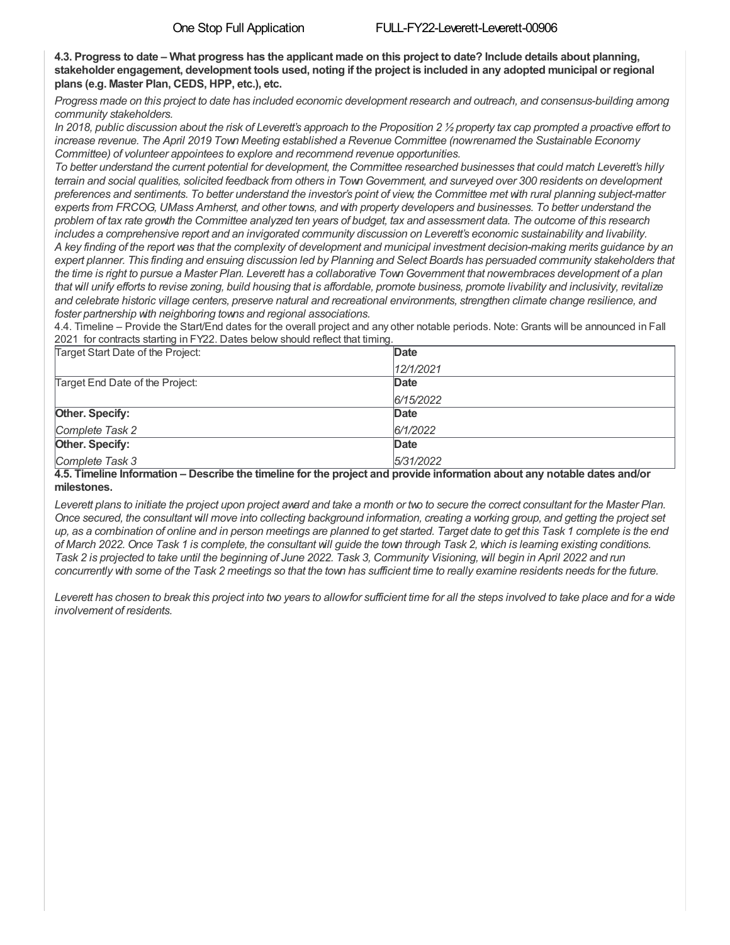4.3. Progress to date – What progress has the applicant made on this project to date? Include details about planning, stakeholder engagement, development tools used, noting if the project is included in any adopted municipal or regional **plans (e.g. Master Plan, CEDS, HPP, etc.), etc.**

Progress made on this project to date has included economic development research and outreach, and consensus-building among *community stakeholders.*

In 2018, public discussion about the risk of Leverett's approach to the Proposition 2  $\frac{1}{2}$  property tax cap prompted a proactive effort to *increase revenue. The April 2019 Town Meeting established a Revenue Committee (nowrenamed the Sustainable Economy Committee) of volunteer appointees to explore and recommend revenue opportunities.*

To better understand the current potential for development, the Committee researched businesses that could match Leverett's hilly terrain and social qualities, solicited feedback from others in Town Government, and surveyed over 300 residents on development preferences and sentiments. To better understand the investor's point of view, the Committee met with rural planning subject-matter experts from FRCOG, UMass Amherst, and other towns, and with property developers and businesses. To better understand the problem of tax rate growth the Committee analyzed ten years of budget, tax and assessment data. The outcome of this research includes a comprehensive report and an invigorated community discussion on Leverett's economic sustainability and livability. A key finding of the report was that the complexity of development and municipal investment decision-making merits guidance by an expert planner. This finding and ensuing discussion led by Planning and Select Boards has persuaded community stakeholders that the time is right to pursue a Master Plan. Leverett has a collaborative Town Government that nowembraces development of a plan that will unify efforts to revise zoning, build housing that is affordable, promote business, promote livability and inclusivity, revitalize and celebrate historic village centers, preserve natural and recreational environments, strengthen climate change resilience, and *foster partnership with neighboring towns and regional associations.*

4.4. Timeline – Provide the Start/End dates for the overall project and any other notable periods. Note: Grants will be announced in Fall 2021 for contracts starting in FY22. Dates below should reflect that timing.

| Target Start Date of the Project:                                                                                                                                                                                                                 | Date      |
|---------------------------------------------------------------------------------------------------------------------------------------------------------------------------------------------------------------------------------------------------|-----------|
|                                                                                                                                                                                                                                                   | 12/1/2021 |
| Target End Date of the Project:                                                                                                                                                                                                                   | Date      |
|                                                                                                                                                                                                                                                   | 6/15/2022 |
| Other. Specify:                                                                                                                                                                                                                                   | Date      |
| Complete Task 2                                                                                                                                                                                                                                   | 6/1/2022  |
| Other. Specify:                                                                                                                                                                                                                                   | Date      |
| Complete Task 3<br>A M. The chair that considers a finite constitution of the constant of the constant of the constant of the constant of the constitution of the constant of the constant of the constant of the constant of the constant of the | 5/31/2022 |

#### 4.5. Timeline Information – Describe the timeline for the project and provide information about any notable dates and/or **milestones.**

Leverett plans to initiate the project upon project award and take a month or two to secure the correct consultant for the Master Plan. Once secured, the consultant will move into collecting background information, creating a working group, and getting the project set up, as a combination of online and in person meetings are planned to get started. Target date to get this Task 1 complete is the end of March 2022. Once Task 1 is complete, the consultant will guide the town through Task 2, which is learning existing conditions. Task 2 is projected to take until the beginning of June 2022. Task 3, Community Visioning, will begin in April 2022 and run concurrently with some of the Task 2 meetings so that the town has sufficient time to really examine residents needs for the future.

Leverett has chosen to break this project into two years to allowfor sufficient time for all the steps involved to take place and for a wide *involvement of residents.*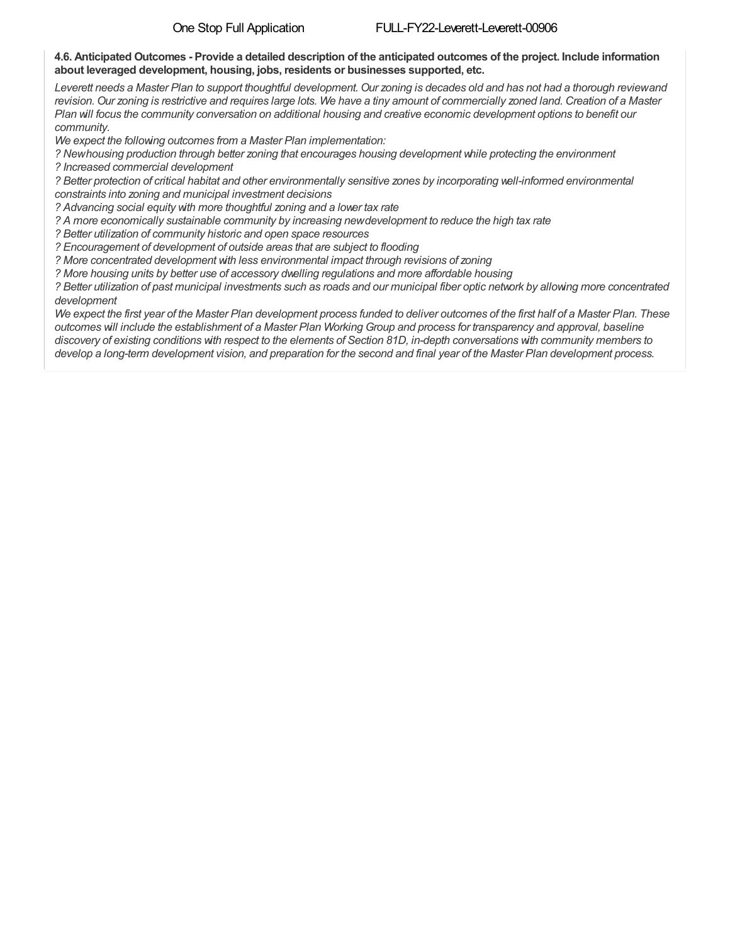#### 4.6. Anticipated Outcomes - Provide a detailed description of the anticipated outcomes of the project. Include information **about leveraged development, housing, jobs, residents or businesses supported, etc.**

Leverett needs a Master Plan to support thoughtful development. Our zoning is decades old and has not had a thorough reviewand revision. Our zoning is restrictive and requires large lots. We have a tiny amount of commercially zoned land. Creation of a Master Plan will focus the community conversation on additional housing and creative economic development options to benefit our *community.*

*We expect the following outcomes from a Master Plan implementation:*

*? Newhousing production through better zoning that encourages housing development while protecting the environment ? Increased commercial development*

? Better protection of critical habitat and other environmentally sensitive zones by incorporating well-informed environmental

*constraints into zoning and municipal investment decisions*

*? Advancing social equity with more thoughtful zoning and a lower tax rate*

*? A more economically sustainable community by increasing newdevelopment to reduce the high tax rate*

*? Better utilization of community historic and open space resources*

*? Encouragement of development of outside areas that are subject to flooding*

*? More concentrated development with less environmental impact through revisions of zoning*

*? More housing units by better use of accessory dwelling regulations and more affordable housing*

? Better utilization of past municipal investments such as roads and our municipal fiber optic network by allowing more concentrated *development*

We expect the first year of the Master Plan development process funded to deliver outcomes of the first half of a Master Plan. These outcomes will include the establishment of a Master Plan Working Group and process for transparency and approval, baseline discovery of existing conditions with respect to the elements of Section 81D, in-depth conversations with community members to develop a long-term development vision, and preparation for the second and final year of the Master Plan development process.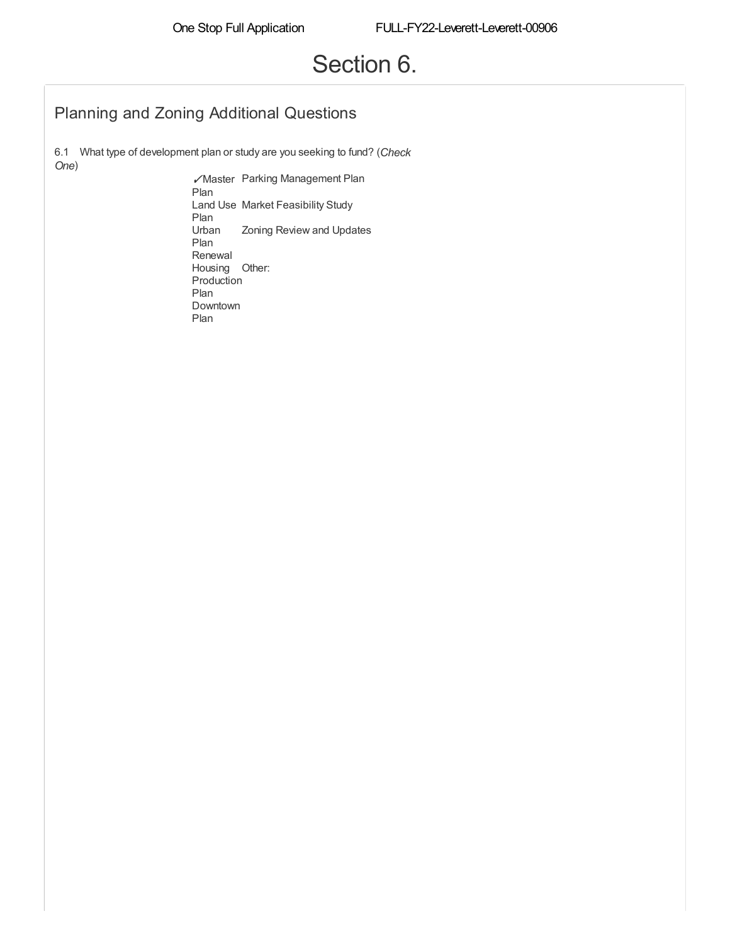# Section 6.

### Planning and Zoning Additional Questions

6.1 What type of development plan or study are you seeking to fund? (*Check One*)

✓Master Parking Management Plan Plan Land Use Market Feasibility Study Plan Urban Plan Renewal Zoning Review and Updates Housing Other: Production Plan Downtown Plan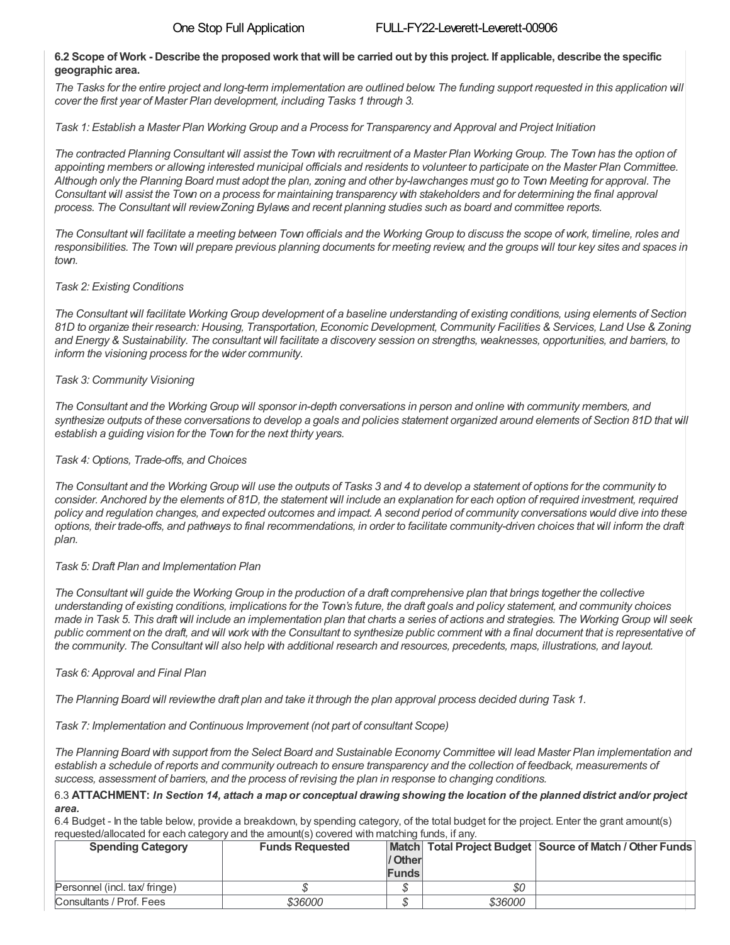#### 6.2 Scope of Work - Describe the proposed work that will be carried out by this project. If applicable, describe the specific **geographic area.**

The Tasks for the entire project and long-term implementation are outlined below. The funding support requested in this application will *cover the first year of Master Plan development, including Tasks 1 through 3.*

Task 1: Establish a Master Plan Working Group and a Process for Transparency and Approval and Project Initiation

The contracted Planning Consultant will assist the Town with recruitment of a Master Plan Working Group. The Town has the option of appointing members or allowing interested municipal officials and residents to volunteer to participate on the Master Plan Committee. Although only the Planning Board must adopt the plan, zoning and other by-lawchanges must go to Town Meeting for approval. The Consultant will assist the Town on a process for maintaining transparency with stakeholders and for determining the final approval process. The Consultant will review Zoning Bylaws and recent planning studies such as board and committee reports.

The Consultant will facilitate a meeting between Town officials and the Working Group to discuss the scope of work, timeline, roles and responsibilities. The Town will prepare previous planning documents for meeting review, and the groups will tour key sites and spaces in *town.*

### *Task 2: Existing Conditions*

The Consultant will facilitate Working Group development of a baseline understanding of existing conditions, using elements of Section 81D to organize their research: Housing, Transportation, Economic Development, Community Facilities & Services, Land Use & Zoning and Energy & Sustainability. The consultant will facilitate a discovery session on strengths, weaknesses, opportunities, and barriers, to *inform the visioning process for the wider community.*

### *Task 3: Community Visioning*

The Consultant and the Working Group will sponsor in-depth conversations in person and online with community members, and synthesize outputs of these conversations to develop a goals and policies statement organized around elements of Section 81D that will *establish a guiding vision for the Town for the next thirty years.*

### *Task 4: Options, Trade-offs, and Choices*

The Consultant and the Working Group will use the outputs of Tasks 3 and 4 to develop a statement of options for the community to consider. Anchored by the elements of 81D, the statement will include an explanation for each option of required investment, required policy and regulation changes, and expected outcomes and impact. A second period of community conversations would dive into these options, their trade-offs, and pathways to final recommendations, in order to facilitate community-driven choices that will inform the draft *plan.*

### *Task 5: Draft Plan and Implementation Plan*

The Consultant will guide the Working Group in the production of a draft comprehensive plan that brings together the collective understanding of existing conditions, implications for the Town's future, the draft goals and policy statement, and community choices made in Task 5. This draft will include an implementation plan that charts a series of actions and strategies. The Working Group will seek public comment on the draft, and will work with the Consultant to synthesize public comment with a final document that is representative of the community. The Consultant will also help with additional research and resources, precedents, maps, illustrations, and layout.

### *Task 6: Approval and Final Plan*

The Planning Board will reviewthe draft plan and take it through the plan approval process decided during Task 1.

*Task 7: Implementation and Continuous Improvement (not part of consultant Scope)*

The Planning Board with support from the Select Board and Sustainable Economy Committee will lead Master Plan implementation and establish a schedule of reports and community outreach to ensure transparency and the collection of feedback, measurements of *success, assessment of barriers, and the process of revising the plan in response to changing conditions.*

#### 6.3 ATTACHMENT: In Section 14, attach a map or conceptual drawing showing the location of the planned district and/or project *area.*

6.4 Budget - In the table below, provide a breakdown, by spending category, of the total budget for the project. Enter the grant amount(s) requested/allocated for each category and the amount(s) covered with matching funds, if any.

| <b>Spending Category</b>      | <b>Funds Requested</b> | / Other<br><b>Funds</b> |         | Match Total Project Budget Source of Match / Other Funds |
|-------------------------------|------------------------|-------------------------|---------|----------------------------------------------------------|
| Personnel (incl. tax/ fringe) |                        |                         | \$0     |                                                          |
| Consultants / Prof. Fees      | \$36000                |                         | \$36000 |                                                          |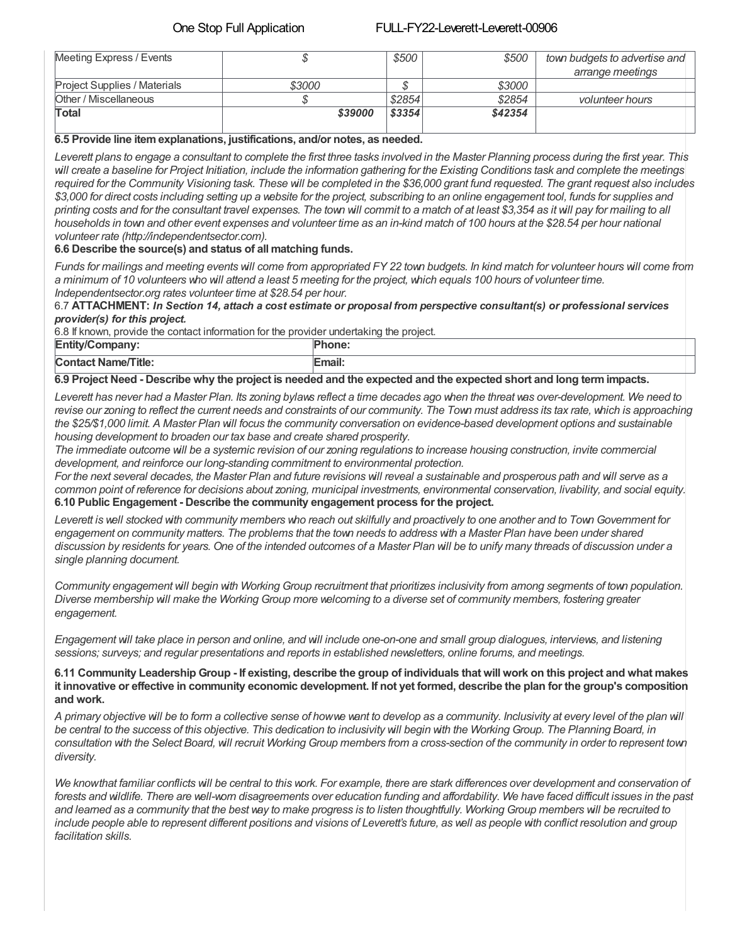#### One Stop Full Application FULL-FY22-Leverett-Leverett-00906

| Meeting Express / Events            |         | \$500  | \$500   | town budgets to advertise and |
|-------------------------------------|---------|--------|---------|-------------------------------|
|                                     |         |        |         | arrange meetings              |
| <b>Project Supplies / Materials</b> | \$3000  |        | \$3000  |                               |
| Other / Miscellaneous               |         | \$2854 | \$2854  | <i>volunteer hours</i>        |
| Total                               | \$39000 | \$3354 | \$42354 |                               |
|                                     |         |        |         |                               |

#### **6.5 Provide line itemexplanations, justifications, and/or notes, as needed.**

Leverett plans to engage a consultant to complete the first three tasks involved in the Master Planning process during the first year. This will create a baseline for Project Initiation, include the information gathering for the Existing Conditions task and complete the meetings required for the Community Visioning task. These will be completed in the \$36,000 grant fund requested. The grant request also includes \$3,000 for direct costs including setting up a website for the project, subscribing to an online engagement tool, funds for supplies and printing costs and for the consultant travel expenses. The town will commit to a match of at least \$3,354 as it will pay for mailing to all households in town and other event expenses and volunteer time as an in-kind match of 100 hours at the \$28.54 per hour national *volunteer rate (http://independentsector.com).*

### **6.6 Describe the source(s) and status of all matching funds.**

Funds for mailings and meeting events will come from appropriated FY 22 town budgets. In kind match for volunteer hours will come from a minimum of 10 volunteers who will attend a least 5 meeting for the project, which equals 100 hours of volunteer time. *Independentsector.org rates volunteer time at \$28.54 per hour.*

6.7 ATTACHMENT: In Section 14, attach a cost estimate or proposal from perspective consultant(s) or professional services *provider(s) for this project.*

6.8 If known, provide the contact information for the provider undertaking the project.

| $\mathsf{F}$ ntit<br>---------------<br><b>∵∪∪πιμαιτγ.</b><br>⊫uu | .one       |
|-------------------------------------------------------------------|------------|
| <b>Contact Name/Title:</b>                                        | <br>:mail: |

#### 6.9 Project Need - Describe why the project is needed and the expected and the expected short and long term impacts.

Leverett has never had a Master Plan. Its zoning bylaws reflect a time decades ago when the threat was over-development. We need to revise our zoning to reflect the current needs and constraints of our community. The Town must address its tax rate, which is approaching the \$25/\$1,000 limit. A Master Plan will focus the community conversation on evidence-based development options and sustainable *housing development to broaden our tax base and create shared prosperity.*

The immediate outcome will be a systemic revision of our zoning regulations to increase housing construction, invite commercial *development, and reinforce our long-standing commitment to environmental protection.*

For the next several decades, the Master Plan and future revisions will reveal a sustainable and prosperous path and will serve as a common point of reference for decisions about zoning, municipal investments, environmental conservation, livability, and social equity. **6.10 Public Engagement - Describe the community engagement process for the project.**

Leverett is well stocked with community members who reach out skilfully and proactively to one another and to Town Government for engagement on community matters. The problems that the town needs to address with a Master Plan have been under shared discussion by residents for years. One of the intended outcomes of a Master Plan will be to unify many threads of discussion under a *single planning document.*

Community engagement will begin with Working Group recruitment that prioritizes inclusivity from among segments of town population. Diverse membership will make the Working Group more welcoming to a diverse set of community members, fostering greater *engagement.*

Engagement will take place in person and online, and will include one-on-one and small group dialogues, interviews, and listening *sessions; surveys; and regular presentations and reports in established newsletters, online forums, and meetings.*

#### 6.11 Community Leadership Group - If existing, describe the group of individuals that will work on this project and what makes it innovative or effective in community economic development. If not yet formed, describe the plan for the group's composition **and work.**

A primary objective will be to form a collective sense of howwe want to develop as a community. Inclusivity at every level of the plan will be central to the success of this objective. This dedication to inclusivity will begin with the Working Group. The Planning Board, in consultation with the Select Board, will recruit Working Group members from a cross-section of the community in order to represent town *diversity.*

We knowthat familiar conflicts will be central to this work. For example, there are stark differences over development and conservation of forests and wildlife. There are well-worn disagreements over education funding and affordability. We have faced difficult issues in the past and learned as a community that the best way to make progress is to listen thoughtfully. Working Group members will be recruited to include people able to represent different positions and visions of Leverett's future, as well as people with conflict resolution and group *facilitation skills.*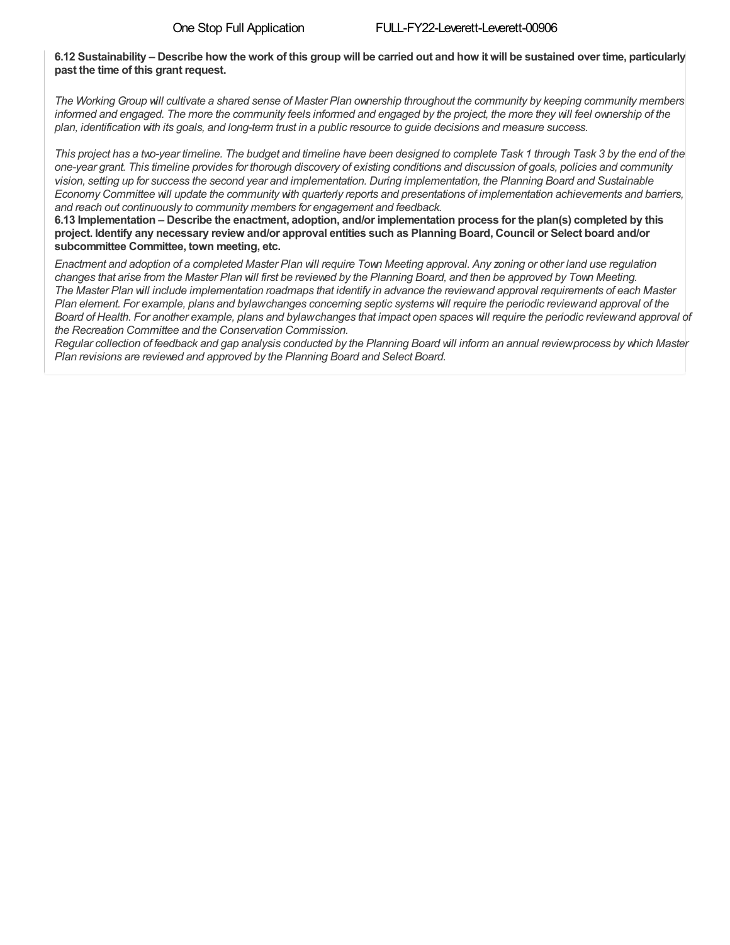### 6.12 Sustainability – Describe how the work of this group will be carried out and how it will be sustained over time, particularly **past the time of this grant request.**

The Working Group will cultivate a shared sense of Master Plan ownership throughout the community by keeping community members informed and engaged. The more the community feels informed and engaged by the project, the more they will feel ownership of the plan, identification with its goals, and long-term trust in a public resource to guide decisions and measure success.

This project has a two-year timeline. The budget and timeline have been designed to complete Task 1 through Task 3 by the end of the one-year grant. This timeline provides for thorough discovery of existing conditions and discussion of goals, policies and community vision, setting up for success the second year and implementation. During implementation, the Planning Board and Sustainable Economy Committee will update the community with quarterly reports and presentations of implementation achievements and barriers, *and reach out continuously to community members for engagement and feedback.*

6.13 Implementation – Describe the enactment, adoption, and/or implementation process for the plan(s) completed by this project. Identify any necessary review and/or approval entities such as Planning Board, Council or Select board and/or **subcommittee Committee, town meeting, etc.**

Enactment and adoption of a completed Master Plan will require Town Meeting approval. Any zoning or other land use regulation changes that arise from the Master Plan will first be reviewed by the Planning Board, and then be approved by Town Meeting. The Master Plan will include implementation roadmaps that identify in advance the reviewand approval requirements of each Master Plan element. For example, plans and bylawchanges concerning septic systems will require the periodic reviewand approval of the Board of Health. For another example, plans and bylawchanges that impact open spaces will require the periodic reviewand approval of *the Recreation Committee and the Conservation Commission.*

Reqular collection of feedback and gap analysis conducted by the Planning Board will inform an annual reviewprocess by which Master *Plan revisions are reviewed and approved by the Planning Board and Select Board.*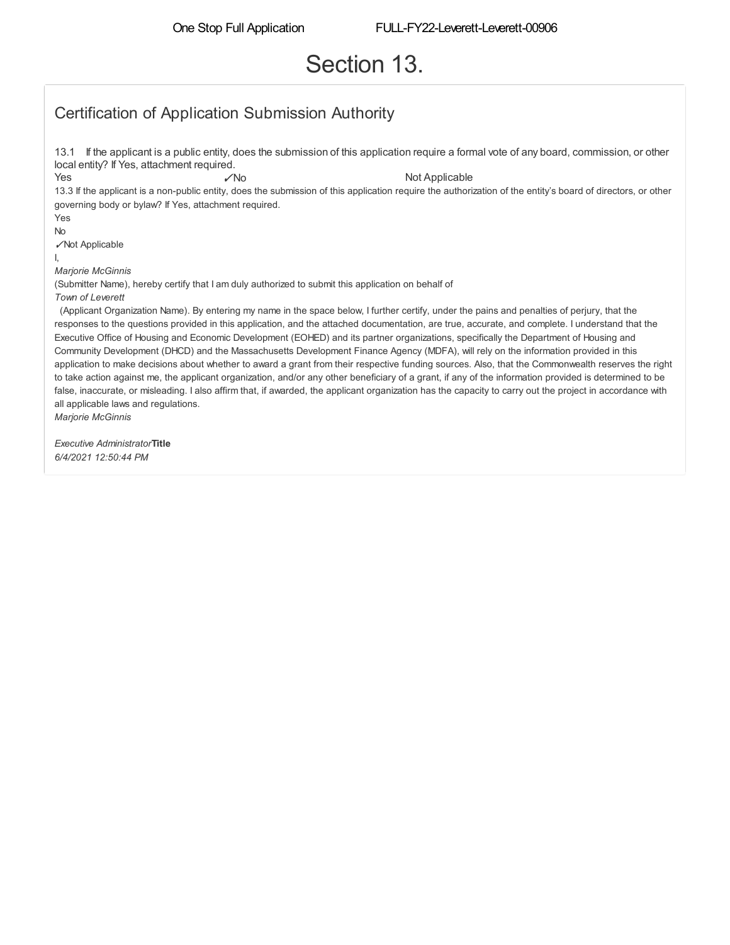# Section 13.

## Certification of Application Submission Authority

13.1 If the applicant is a public entity, does the submission of this application require a formal vote of any board, commission, or other local entity? If Yes, attachment required. Yes ✓No Not Applicable 13.3 If the applicant is a non-public entity, does the submission of this application require the authorization of the entity's board of directors, or other governing body or bylaw? If Yes, attachment required. Yes No ✓Not Applicable I, *Marjorie McGinnis* (Submitter Name), hereby certify that I am duly authorized to submit this application on behalf of *Town of Leverett* (Applicant Organization Name). By entering my name in the space below, I further certify, under the pains and penalties of perjury, that the responses to the questions provided in this application, and the attached documentation, are true, accurate, and complete. I understand that the Executive Office of Housing and Economic Development (EOHED) and its partner organizations, specifically the Department of Housing and Community Development (DHCD) and the Massachusetts Development Finance Agency (MDFA), will rely on the information provided in this application to make decisions about whether to award a grant from their respective funding sources. Also, that the Commonwealth reserves the right to take action against me, the applicant organization, and/or any other beneficiary of a grant, if any of the information provided is determined to be false, inaccurate, or misleading. I also affirm that, if awarded, the applicant organization has the capacity to carry out the project in accordance with all applicable laws and regulations. *Marjorie McGinnis*

*Executive Administrator***Title** *6/4/2021 12:50:44 PM*